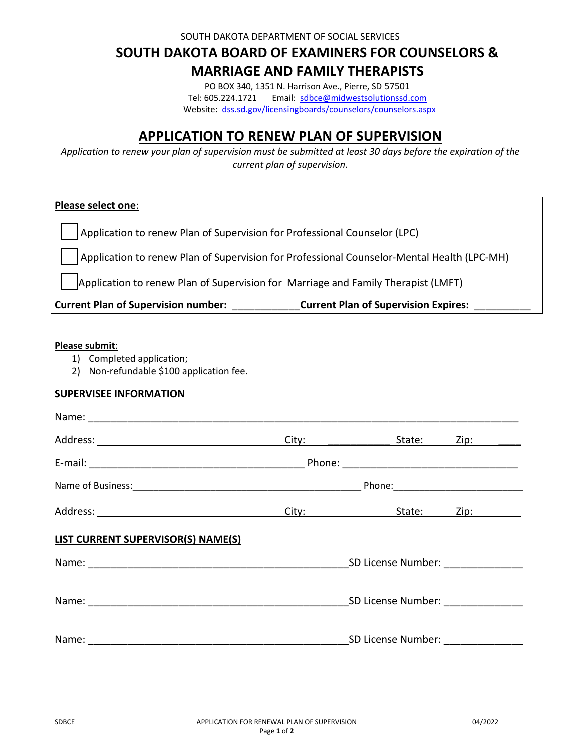SOUTH DAKOTA DEPARTMENT OF SOCIAL SERVICES

# **SOUTH DAKOTA BOARD OF EXAMINERS FOR COUNSELORS & MARRIAGE AND FAMILY THERAPISTS**

PO BOX 340, 1351 N. Harrison Ave., Pierre, SD 57501 Tel: 605.224.1721 Email: sdbce@midwestsolutionssd.com Website: dss.sd.gov/licensingboards/counselors/counselors.aspx

## **APPLICATION TO RENEW PLAN OF SUPERVISION**

*Application to renew your plan of supervision must be submitted at least 30 days before the expiration of the current plan of supervision.*

| <b>Please select one:</b>                                                                  |  |
|--------------------------------------------------------------------------------------------|--|
| Application to renew Plan of Supervision for Professional Counselor (LPC)                  |  |
| Application to renew Plan of Supervision for Professional Counselor-Mental Health (LPC-MH) |  |
| Application to renew Plan of Supervision for Marriage and Family Therapist (LMFT)          |  |
| <b>Current Plan of Supervision number:</b><br><b>Current Plan of Supervision Expires:</b>  |  |

#### **Please submit**:

- 1) Completed application;
- 2) Non-refundable \$100 application fee.

### **SUPERVISEE INFORMATION**

|                                    | Ci <u>ty: _______________________</u> | State:                             | Zip: ________                                                                                                  |
|------------------------------------|---------------------------------------|------------------------------------|----------------------------------------------------------------------------------------------------------------|
|                                    |                                       |                                    |                                                                                                                |
|                                    |                                       |                                    |                                                                                                                |
|                                    |                                       | City: State:                       | Zip: will be a series of the series of the series of the series of the series of the series of the series of t |
| LIST CURRENT SUPERVISOR(S) NAME(S) |                                       |                                    |                                                                                                                |
|                                    |                                       | SD License Number: _______________ |                                                                                                                |
|                                    |                                       | SD License Number: __________      |                                                                                                                |
|                                    |                                       | SD License Number:                 |                                                                                                                |